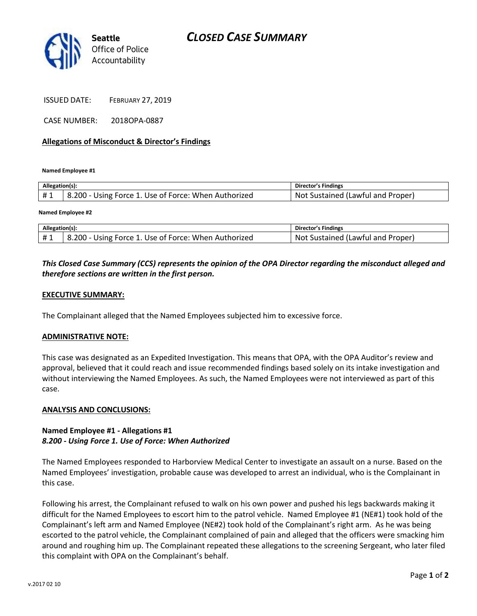

ISSUED DATE: FEBRUARY 27, 2019

CASE NUMBER: 2018OPA-0887

### **Allegations of Misconduct & Director's Findings**

**Named Employee #1**

| Allegation(s): |                                                      | Director's Findings                      |
|----------------|------------------------------------------------------|------------------------------------------|
| <b>H</b> 1     | 8.200 - Using Force 1. Use of Force: When Authorized | . Sustained (Lawful and Proper)<br>. Not |

#### **Named Employee #2**

| Allegation(s): |                                                      | Director's Findings                      |
|----------------|------------------------------------------------------|------------------------------------------|
| #1             | 8.200 - Using Force 1. Use of Force: When Authorized | t Sustained (Lawful and Proper)<br>. Not |

## *This Closed Case Summary (CCS) represents the opinion of the OPA Director regarding the misconduct alleged and therefore sections are written in the first person.*

### **EXECUTIVE SUMMARY:**

The Complainant alleged that the Named Employees subjected him to excessive force.

#### **ADMINISTRATIVE NOTE:**

This case was designated as an Expedited Investigation. This means that OPA, with the OPA Auditor's review and approval, believed that it could reach and issue recommended findings based solely on its intake investigation and without interviewing the Named Employees. As such, the Named Employees were not interviewed as part of this case.

#### **ANALYSIS AND CONCLUSIONS:**

## **Named Employee #1 - Allegations #1** *8.200 - Using Force 1. Use of Force: When Authorized*

The Named Employees responded to Harborview Medical Center to investigate an assault on a nurse. Based on the Named Employees' investigation, probable cause was developed to arrest an individual, who is the Complainant in this case.

Following his arrest, the Complainant refused to walk on his own power and pushed his legs backwards making it difficult for the Named Employees to escort him to the patrol vehicle. Named Employee #1 (NE#1) took hold of the Complainant's left arm and Named Employee (NE#2) took hold of the Complainant's right arm. As he was being escorted to the patrol vehicle, the Complainant complained of pain and alleged that the officers were smacking him around and roughing him up. The Complainant repeated these allegations to the screening Sergeant, who later filed this complaint with OPA on the Complainant's behalf.